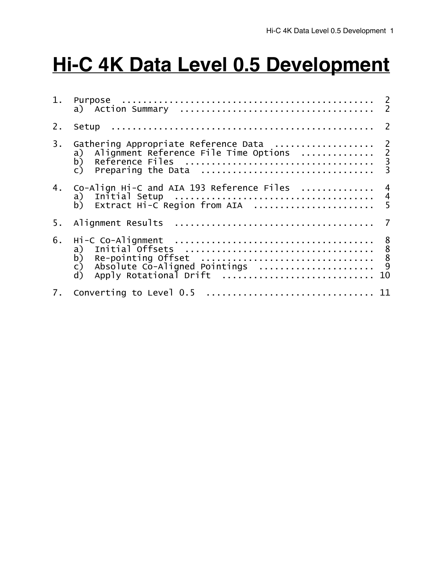# **Hi-C 4K Data Level 0.5 Development**

| 1. |                                                                                                                                                                                                                       |
|----|-----------------------------------------------------------------------------------------------------------------------------------------------------------------------------------------------------------------------|
| 2. | Setup                                                                                                                                                                                                                 |
| 3. | Gathering Appropriate Reference Data  2<br>Alignment Reference File Time Options  2<br>a)                                                                                                                             |
| 4. | Co-Align Hi-C and AIA 193 Reference Files<br>a)<br>Extract Hi-C Region from AIA<br>b)                                                                                                                                 |
| 5. |                                                                                                                                                                                                                       |
| 6. | Hi-C Co-Alignment<br>a) Initial Offsets<br>b) Re-pointing Offset<br>c) Absolute Co-Aligned Pointings<br>c) Absolute Co-Aligned Pointings<br>c)<br>Absolute Co-Aligned Pointings<br>Apply Rotational Drift<br>d)<br>10 |
| 7. |                                                                                                                                                                                                                       |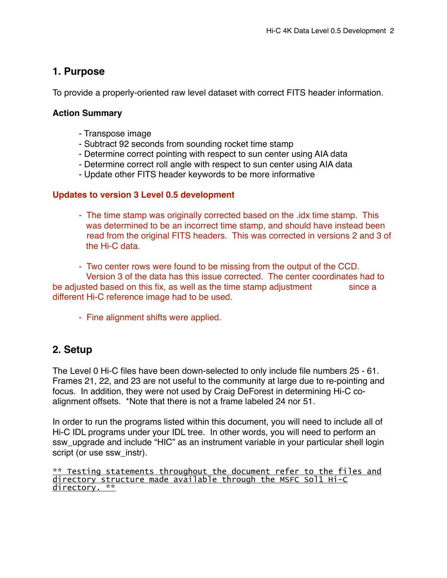# **1. Purpose**

To provide a properly-oriented raw level dataset with correct FITS header information.

## **Action Summary**

- Transpose image
- Subtract 92 seconds from sounding rocket time stamp
- Determine correct pointing with respect to sun center using AIA data
- Determine correct roll angle with respect to sun center using AIA data
- Update other FITS header keywords to be more informative

## **Updates to version 3 Level 0.5 development**

- The time stamp was originally corrected based on the .idx time stamp. This was determined to be an incorrect time stamp, and should have instead been read from the original FITS headers. This was corrected in versions 2 and 3 of the Hi-C data.

- Two center rows were found to be missing from the output of the CCD. Version 3 of the data has this issue corrected. The center coordinates had to be adjusted based on this fix, as well as the time stamp adjustment since a different Hi-C reference image had to be used.

- Fine alignment shifts were applied.

# **2. Setup**

The Level 0 Hi-C files have been down-selected to only include file numbers 25 - 61. Frames 21, 22, and 23 are not useful to the community at large due to re-pointing and focus. In addition, they were not used by Craig DeForest in determining Hi-C coalignment offsets. \*Note that there is not a frame labeled 24 nor 51.

In order to run the programs listed within this document, you will need to include all of Hi-C IDL programs under your IDL tree. In other words, you will need to perform an ssw\_upgrade and include "HIC" as an instrument variable in your particular shell login script (or use ssw\_instr).

\*\* Testing statements throughout the document refer to the files and directory structure made available through the MSFC Sol1 Hi-C directory. \*\*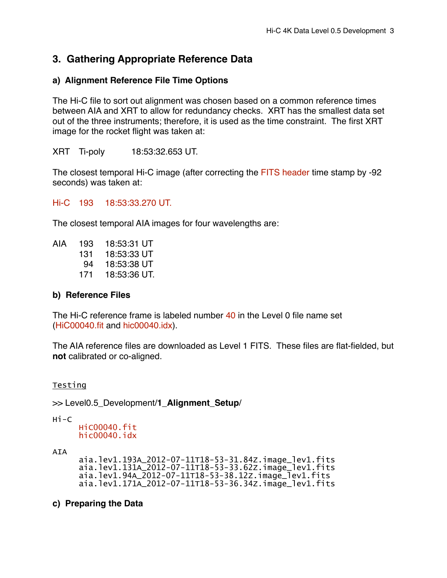# **3. Gathering Appropriate Reference Data**

## **a) Alignment Reference File Time Options**

The Hi-C file to sort out alignment was chosen based on a common reference times between AIA and XRT to allow for redundancy checks. XRT has the smallest data set out of the three instruments; therefore, it is used as the time constraint. The first XRT image for the rocket flight was taken at:

XRT Ti-poly" 18:53:32.653 UT.

The closest temporal Hi-C image (after correcting the FITS header time stamp by -92 seconds) was taken at:

Hi-C 193 18:53:33.270 UT.

The closest temporal AIA images for four wavelengths are:

AIA 193 18:53:31 UT 18:53:33 UT 18:53:38 UT 18:53:36 UT.

#### **b) Reference Files**

The Hi-C reference frame is labeled number 40 in the Level 0 file name set (HiC00040.fit and hic00040.idx).

The AIA reference files are downloaded as Level 1 FITS. These files are flat-fielded, but **not** calibrated or co-aligned.

#### Testing

>> Level0.5\_Development/**1\_Alignment\_Setup**/

Hi-C

HiC00040.fit hic00040.idx

AIA

 aia.lev1.193A\_2012-07-11T18-53-31.84Z.image\_lev1.fits aia.lev1.131A\_2012-07-11T18-53-33.62Z.image\_lev1.fits aia.lev1.94A\_2012-07-11T18-53-38.12Z.image\_lev1.fits aia.lev1.171A\_2012-07-11T18-53-36.34Z.image\_lev1.fits

#### **c) Preparing the Data**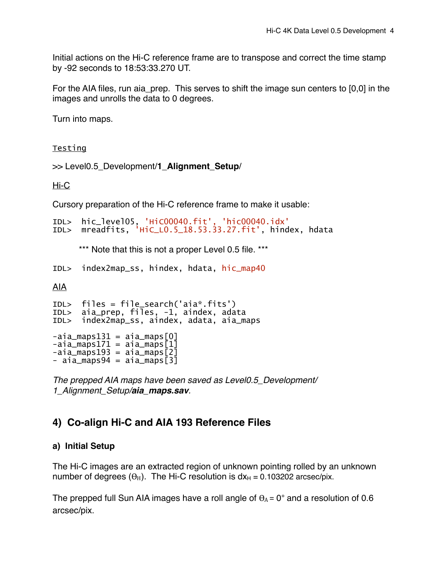Initial actions on the Hi-C reference frame are to transpose and correct the time stamp by -92 seconds to 18:53:33.270 UT.

For the AIA files, run aia prep. This serves to shift the image sun centers to [0,0] in the images and unrolls the data to 0 degrees.

Turn into maps.

Testing

>> Level0.5\_Development/**1\_Alignment\_Setup**/

Hi-C

Cursory preparation of the Hi-C reference frame to make it usable:

```
IDL> hic_level05, 'HiC00040.fit', 'hic00040.idx'
     mreadfits, 'HiC_L0.5_18.53.33.27.fit', hindex, hdata
```
\*\*\* Note that this is not a proper Level 0.5 file. \*\*\*

IDL> index2map\_ss, hindex, hdata, hic\_map40

AIA

```
IDL> files = file_search('aia*.fits') 
IDL> aia_prep, files, -1, aindex, adata 
IDL> index2map_ss, aindex, adata, aia_maps 
-aia_maps131 = aia_maps[0]-aia_maps171 = aia_maps[1]
-aia_maps193 = aia_maps[2]
- aia_maps94 = aia_maps\boxed{3}
```
*The prepped AIA maps have been saved as Level0.5\_Development/ 1\_Alignment\_Setup/aia\_maps.sav.*

# **4) Co-align Hi-C and AIA 193 Reference Files**

# **a) Initial Setup**

The Hi-C images are an extracted region of unknown pointing rolled by an unknown number of degrees ( $\theta_H$ ). The Hi-C resolution is  $dx_H = 0.103202$  arcsec/pix.

The prepped full Sun AIA images have a roll angle of  $\theta_A = 0^\circ$  and a resolution of 0.6 arcsec/pix.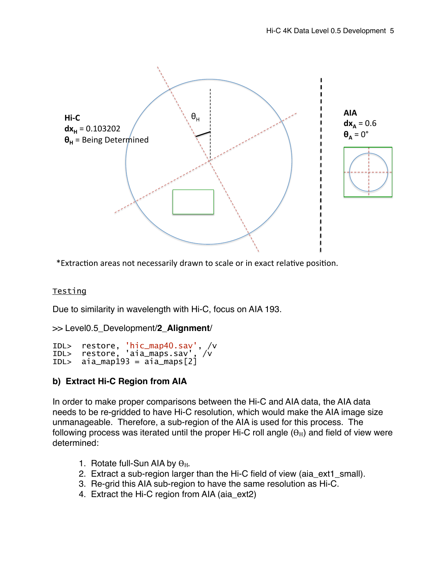

\*Extraction areas not necessarily drawn to scale or in exact relative position.

#### Testing

Due to similarity in wavelength with Hi-C, focus on AIA 193.

```
>> Level0.5_Development/2_Alignment/
```

```
IDL> restore, 'hic_map40.sav', /v 
IDL> restore, 'aia_maps.sav', /v 
IDL> aia_map193 = aia_maps[2]
```
# **b) Extract Hi-C Region from AIA**

In order to make proper comparisons between the Hi-C and AIA data, the AIA data needs to be re-gridded to have Hi-C resolution, which would make the AIA image size unmanageable. Therefore, a sub-region of the AIA is used for this process. The following process was iterated until the proper Hi-C roll angle  $(\theta_H)$  and field of view were determined:

- 1. Rotate full-Sun AIA by  $\theta_{\rm H}$ .
- 2. Extract a sub-region larger than the Hi-C field of view (aia\_ext1\_small).
- 3. Re-grid this AIA sub-region to have the same resolution as Hi-C.
- 4. Extract the Hi-C region from AIA (aia\_ext2)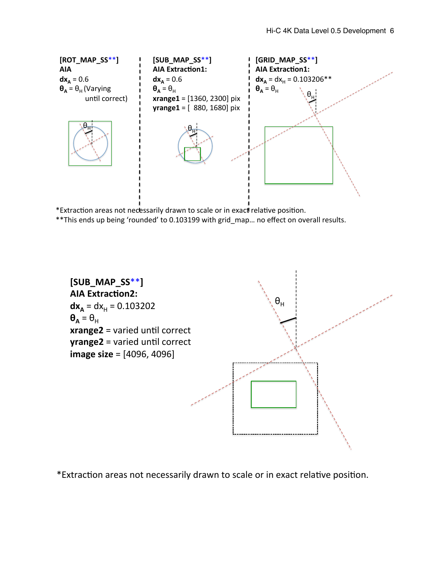

\*Extraction areas not necessarily drawn to scale or in exact relative position.

\*\*This ends up being 'rounded' to 0.103199 with grid\_map... no effect on overall results.



\*Extraction areas not necessarily drawn to scale or in exact relative position.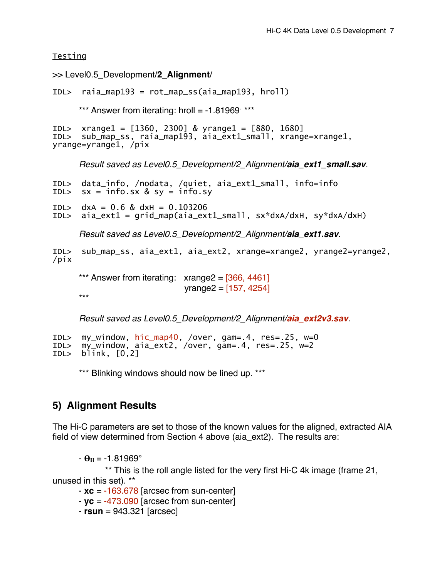**Testing** 

>> Level0.5\_Development/**2\_Alignment**/

IDL> raia\_map193 = rot\_map\_ss(aia\_map193, hroll)

\*\*\* Answer from iterating: hroll = -1.81969<sup>∘</sup> \*\*\*

```
IDL> xrange1 = [1360, 2300] & yrange1 = [880, 1680] 
IDL> sub_map_ss, raia_map193, aia_ext1_small, xrange=xrange1, 
yrange=yrange1, /pix
```
*Result saved as Level0.5\_Development/2\_Alignment/aia\_ext1\_small.sav.*

```
IDL> data_info, /nodata, /quiet, aia_ext1_small, info=info 
       sx = \text{info}.sx \& sy = \text{info}.syIDL> dxA = 0.6 & dxH = 0.103206<br>IDL> aia ext1 = arid map(aia ext
       aia_ext1 = grid_map(aia_ext1_small, sx*dxA/dxH, sy*dxA/dxH)
      Result saved as Level0.5_Development/2_Alignment/aia_ext1.sav.
IDL> sub_map_ss, aia_ext1, aia_ext2, xrange=xrange2, yrange2=yrange2, 
/pix
```
\*\*\* Answer from iterating:  $xrange2 = [366, 4461]$  $v$  range  $2 = [157, 4254]$ \*\*\*

*Result saved as Level0.5\_Development/2\_Alignment/aia\_ext2v3.sav.*

```
IDL> my_window, hic_map40, /over, gam=.4, res=.25, w=0 
     my_window, aia_ext2, /over, gam=.4, res=.25, w=2
IDL> blink, [0,2]
```
\*\*\* Blinking windows should now be lined up. \*\*\*

# **5) Alignment Results**

The Hi-C parameters are set to those of the known values for the aligned, extracted AIA field of view determined from Section 4 above (aia\_ext2). The results are:

 $- \theta_H = -1.81969^\circ$ 

\*\* This is the roll angle listed for the very first Hi-C 4k image (frame 21, unused in this set). \*\*

- **xc** = -163.678 [arcsec from sun-center]

- **yc** = -473.090 [arcsec from sun-center]

- **rsun** = 943.321 [arcsec]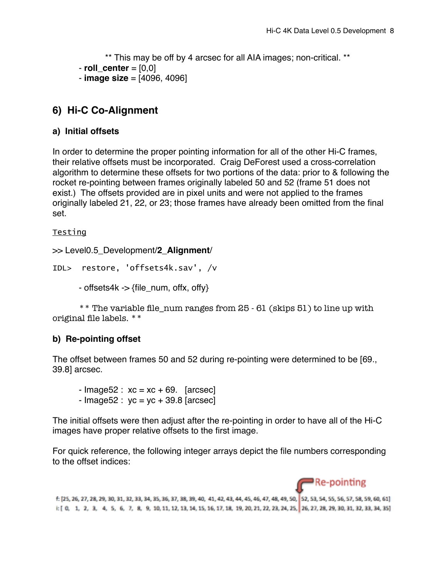\*\* This may be off by 4 arcsec for all AIA images; non-critical. \*\* - **roll\_center** = [0,0] - **image size** = [4096, 4096]

# **6) Hi-C Co-Alignment**

# **a) Initial offsets**

In order to determine the proper pointing information for all of the other Hi-C frames, their relative offsets must be incorporated. Craig DeForest used a cross-correlation algorithm to determine these offsets for two portions of the data: prior to & following the rocket re-pointing between frames originally labeled 50 and 52 (frame 51 does not exist.) The offsets provided are in pixel units and were not applied to the frames originally labeled 21, 22, or 23; those frames have already been omitted from the final set.

## Testing

```
>> Level0.5_Development/2_Alignment/
```

```
IDL> restore, 'offsets4k.sav', /v
```
- offsets4k -> {file\_num, offx, offy}

\*\* The variable file\_num ranges from 25 - 61 (skips 51) to line up with original file labels. \*\*

# **b) Re-pointing offset**

The offset between frames 50 and 52 during re-pointing were determined to be [69., 39.8] arcsec.

```
- Image52 : xc = xc + 69. [arcsec]
- Image52 : yc = yc + 39.8 [arcsec]
```
The initial offsets were then adjust after the re-pointing in order to have all of the Hi-C images have proper relative offsets to the first image.

For quick reference, the following integer arrays depict the file numbers corresponding to the offset indices:



f: [25, 26, 27, 28, 29, 30, 31, 32, 33, 34, 35, 36, 37, 38, 39, 40, 41, 42, 43, 44, 45, 46, 47, 48, 49, 50, 52, 53, 54, 55, 56, 57, 58, 59, 60, 61] i: [ 0, 1, 2, 3, 4, 5, 6, 7, 8, 9, 10, 11, 12, 13, 14, 15, 16, 17, 18, 19, 20, 21, 22, 23, 24, 25, 26, 27, 28, 29, 30, 31, 32, 33, 34, 35)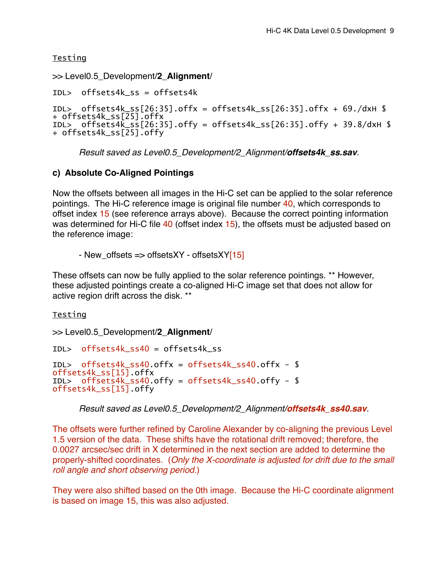Testing

```
>> Level0.5_Development/2_Alignment/
```

```
IDL> offsets4k_ss = offsets4k
```

```
IDL> offsets4k_ss[26:35].offx = offsets4k_ss[26:35].offx + 69./dxH $ 
+ offsets4k_ss[\overline{2}5].offx
IDL> offsets4\overline{k}_ss[26:35].offy = offsets4k_ss[26:35].offy + 39.8/dxH $
+ offsets4k_ss[25].offy
```
*Result saved as Level0.5\_Development/2\_Alignment/offsets4k\_ss.sav.*

# **c) Absolute Co-Aligned Pointings**

Now the offsets between all images in the Hi-C set can be applied to the solar reference pointings. The Hi-C reference image is original file number 40, which corresponds to offset index 15 (see reference arrays above). Because the correct pointing information was determined for Hi-C file 40 (offset index 15), the offsets must be adjusted based on the reference image:

- New\_offsets  $\Rightarrow$  offsetsXY - offsetsXY[15]

These offsets can now be fully applied to the solar reference pointings. \*\* However, these adjusted pointings create a co-aligned Hi-C image set that does not allow for active region drift across the disk. \*\*

Testing

>> Level0.5\_Development/**2\_Alignment**/

```
IDL> offsets4k_ss40 = offsets4k_ss 
IDL> offsets4k_ss40.offx = offsets4k_ss40.offx - $ 
offsets4k_ss[15].offx
IDL> offsets4k_ss40.offy = offsets4k_ss40.offy - $ 
offsets4k_ss[15].offy
```
*Result saved as Level0.5\_Development/2\_Alignment/offsets4k\_ss40.sav.*

The offsets were further refined by Caroline Alexander by co-aligning the previous Level 1.5 version of the data. These shifts have the rotational drift removed; therefore, the 0.0027 arcsec/sec drift in X determined in the next section are added to determine the properly-shifted coordinates. (*Only the X-coordinate is adjusted for drift due to the small roll angle and short observing period.*)

They were also shifted based on the 0th image. Because the Hi-C coordinate alignment is based on image 15, this was also adjusted.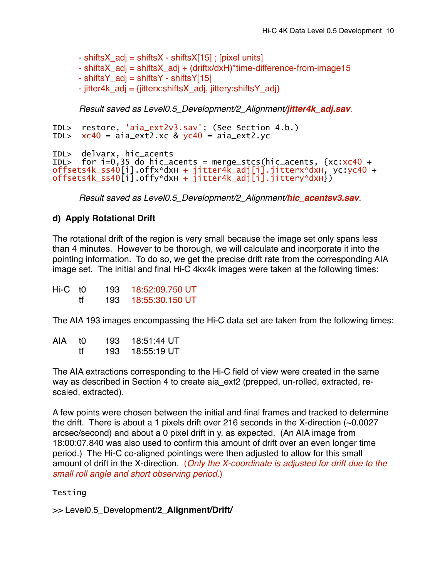- shiftsX  $\alpha$ dj = shiftsX - shiftsX[15] ; [pixel units]

- shiftsX\_adj = shiftsX\_adj + (driftx/dxH)\*time-difference-from-image15
- shiftsY  $\alpha$ dj = shiftsY shiftsY[15]
- jitter4k\_adj = {jitterx:shiftsX\_adj, jittery:shiftsY\_adj}

*Result saved as Level0.5\_Development/2\_Alignment/jitter4k\_adj.sav.*

```
IDL> restore, 'aia_ext2v3.sav'; (See Section 4.b.) 
IDL> xc40 = aia\_ext2.xc & yc40 = aia\_ext2.yc
```

```
IDL> delvarx, hic_acents 
IDL> for i=0,35 do hic_acents = merge_stcs(hic_acents, {xc:xc40 + 
offsets4k_ss40[i].offx*dxH + jitter4k_adj[i].jitterx*dxH, yc:yc40 + 
offsets4k_ss40[i].offy*dxH + jitter4k_adj[i].jittery*dxH})
```
*Result saved as Level0.5\_Development/2\_Alignment/hic\_acentsv3.sav.*

## **d) Apply Rotational Drift**

The rotational drift of the region is very small because the image set only spans less than 4 minutes. However to be thorough, we will calculate and incorporate it into the pointing information. To do so, we get the precise drift rate from the corresponding AIA image set. The initial and final Hi-C 4kx4k images were taken at the following times:

| Hi-C t <sub>0</sub> |    | 193 | 18:52:09.750 UT |
|---------------------|----|-----|-----------------|
|                     | tf | 193 | 18:55:30.150 UT |

The AIA 193 images encompassing the Hi-C data set are taken from the following times:

| AIA | tΩ | 193  | 18:51:44 UT |
|-----|----|------|-------------|
|     | Ħ  | 193. | 18:55:19 UT |

The AIA extractions corresponding to the Hi-C field of view were created in the same way as described in Section 4 to create aia ext2 (prepped, un-rolled, extracted, rescaled, extracted).

A few points were chosen between the initial and final frames and tracked to determine the drift. There is about a 1 pixels drift over 216 seconds in the X-direction (~0.0027 arcsec/second) and about a 0 pixel drift in y, as expected. (An AIA image from 18:00:07.840 was also used to confirm this amount of drift over an even longer time period.) The Hi-C co-aligned pointings were then adjusted to allow for this small amount of drift in the X-direction. (*Only the X-coordinate is adjusted for drift due to the small roll angle and short observing period.*)

#### Testing

>> Level0.5\_Development/**2\_Alignment/Drift/**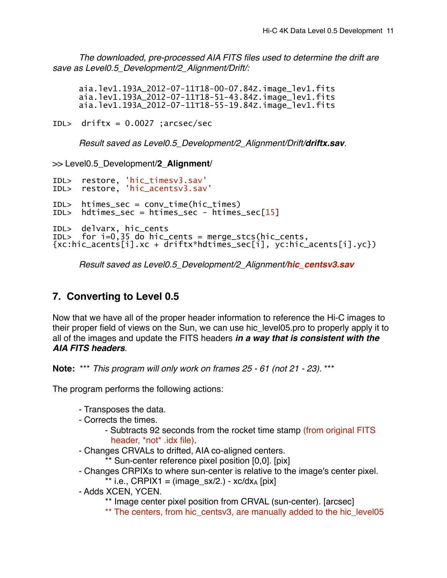*The downloaded, pre-processed AIA FITS files used to determine the drift are save as Level0.5\_Development/2\_Alignment/Drift/:*

aia.lev1.193A\_2012-07-11T18-00-07.84Z.image\_lev1.fits aia.lev1.193A\_2012-07-11T18-51-43.84Z.image\_lev1.fits aia.lev1.193A\_2012-07-11T18-55-19.84Z.image\_lev1.fits

IDL> driftx = 0.0027 ;arcsec/sec

*Result saved as Level0.5\_Development/2\_Alignment/Drift/driftx.sav.*

>> Level0.5\_Development/**2\_Alignment**/

```
IDL> restore, 'hic_timesv3.sav'
IDL> restore, 'hic_acentsv3.sav'
IDL> htimes_sec = conv_time(hic_times) 
IDL> hdtimes_sec = htimes_sec - htimes_sec[15] 
IDL> delvarx, hic_cents 
IDL> for i=0,35 do hic_cents = merge_stcs(hic_cents, 
{xc:hic_acents[i].xc + driftx*hdtimes_sec[i], yc:hic_acents[i].yc})
```
*Result saved as Level0.5\_Development/2\_Alignment/hic\_centsv3.sav* 

# **7. Converting to Level 0.5**

Now that we have all of the proper header information to reference the Hi-C images to their proper field of views on the Sun, we can use hic\_level05.pro to properly apply it to all of the images and update the FITS headers *in a way that is consistent with the AIA FITS headers*.

**Note:** \*\*\* *This program will only work on frames 25 - 61 (not 21 - 23).* \*\*\*

The program performs the following actions:

- Transposes the data.
- Corrects the times.
	- Subtracts 92 seconds from the rocket time stamp (from original FITS header, \*not\* .idx file).
- Changes CRVALs to drifted, AIA co-aligned centers.
	- \*\* Sun-center reference pixel position [0,0]. [pix]
- Changes CRPIXs to where sun-center is relative to the image's center pixel.
	- \*\* i.e.,  $CRPIX1 = (image_s x/2.) xc/dx_A [pix]$
- Adds XCEN, YCEN.

\*\* Image center pixel position from CRVAL (sun-center). [arcsec]

\*\* The centers, from hic\_centsv3, are manually added to the hic\_level05